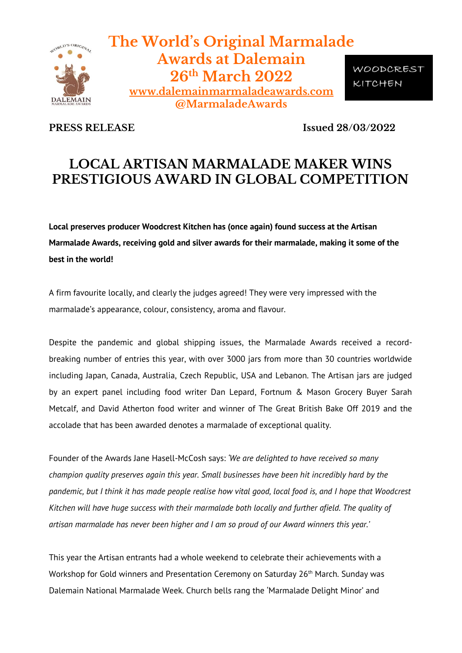

**The World's Original Marmalade Awards at Dalemain 26th March 2022 [www.dalemainmarmaladeawards.com](http://www.marmaladeawards.com/) @MarmaladeAwards**

WOODCREST KITCHEN

**PRESS RELEASE** Issued 28/03/2022

# **LOCAL ARTISAN MARMALADE MAKER WINS PRESTIGIOUS AWARD IN GLOBAL COMPETITION**

**Local preserves producer Woodcrest Kitchen has (once again) found success at the Artisan Marmalade Awards, receiving gold and silver awards for their marmalade, making it some of the best in the world!**

A firm favourite locally, and clearly the judges agreed! They were very impressed with the marmalade's appearance, colour, consistency, aroma and flavour.

Despite the pandemic and global shipping issues, the Marmalade Awards received a recordbreaking number of entries this year, with over 3000 jars from more than 30 countries worldwide including Japan, Canada, Australia, Czech Republic, USA and Lebanon. The Artisan jars are judged by an expert panel including food writer Dan Lepard, Fortnum & Mason Grocery Buyer Sarah Metcalf, and David Atherton food writer and winner of The Great British Bake Off 2019 and the accolade that has been awarded denotes a marmalade of exceptional quality.

Founder of the Awards Jane Hasell-McCosh says: *'We are delighted to have received so many champion quality preserves again this year. Small businesses have been hit incredibly hard by the pandemic, but I think it has made people realise how vital good, local food is, and I hope that Woodcrest Kitchen will have huge success with their marmalade both locally and further afield. The quality of artisan marmalade has never been higher and I am so proud of our Award winners this year.'*

This year the Artisan entrants had a whole weekend to celebrate their achievements with a Workshop for Gold winners and Presentation Ceremony on Saturday 26<sup>th</sup> March. Sunday was Dalemain National Marmalade Week. Church bells rang the 'Marmalade Delight Minor' and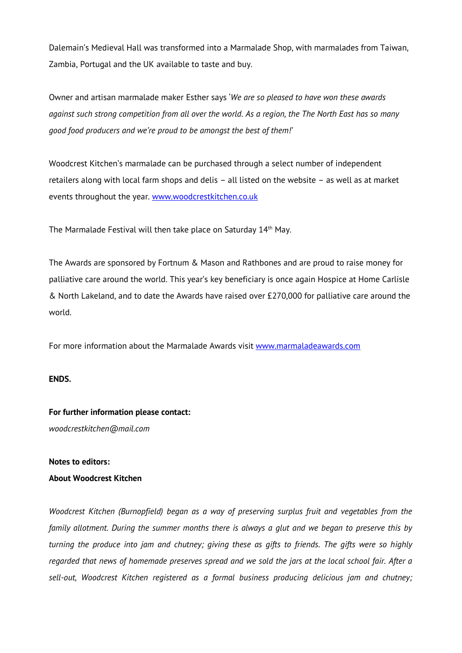Dalemain's Medieval Hall was transformed into a Marmalade Shop, with marmalades from Taiwan, Zambia, Portugal and the UK available to taste and buy.

Owner and artisan marmalade maker Esther says '*We are so pleased to have won these awards against such strong competition from all over the world. As a region, the The North East has so many good food producers and we're proud to be amongst the best of them!'*

Woodcrest Kitchen's marmalade can be purchased through a select number of independent retailers along with local farm shops and delis – all listed on the website – as well as at market events throughout the year. [www.woodcrestkitchen.co.uk](http://www.woodcrestkitchen.co.uk/)

The Marmalade Festival will then take place on Saturday 14<sup>th</sup> May.

The Awards are sponsored by Fortnum & Mason and Rathbones and are proud to raise money for palliative care around the world. This year's key beneficiary is once again Hospice at Home Carlisle & North Lakeland, and to date the Awards have raised over £270,000 for palliative care around the world.

For more information about the Marmalade Awards visit [www.marmaladeawards.com](http://www.marmaladeawards.com/)

### **ENDS.**

### **For further information please contact:**

*woodcrestkitchen@mail.com*

### **Notes to editors:**

## **About Woodcrest Kitchen**

*Woodcrest Kitchen (Burnopfield) began as a way of preserving surplus fruit and vegetables from the family allotment. During the summer months there is always a glut and we began to preserve this by turning the produce into jam and chutney; giving these as gifts to friends. The gifts were so highly regarded that news of homemade preserves spread and we sold the jars at the local school fair. After a sell-out, Woodcrest Kitchen registered as a formal business producing delicious jam and chutney;*